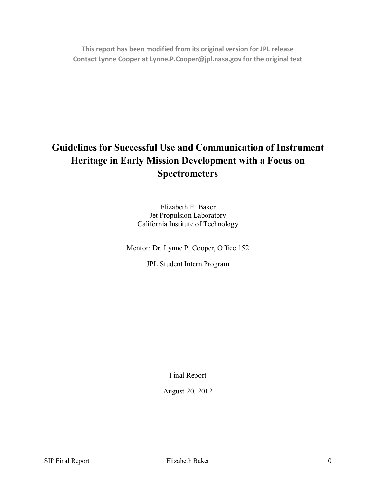**This report has been modified from its original version for JPL release Contact Lynne Cooper at Lynne.P.Cooper@jpl.nasa.gov for the original text**

# **Guidelines for Successful Use and Communication of Instrument Heritage in Early Mission Development with a Focus on Spectrometers**

Elizabeth E. Baker Jet Propulsion Laboratory California Institute of Technology

Mentor: Dr. Lynne P. Cooper, Office 152

JPL Student Intern Program

Final Report

August 20, 2012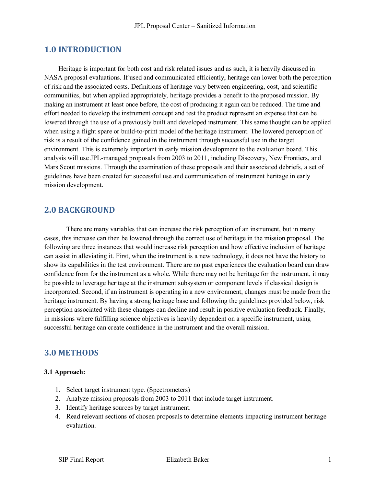## **1.0 INTRODUCTION**

Heritage is important for both cost and risk related issues and as such, it is heavily discussed in NASA proposal evaluations. If used and communicated efficiently, heritage can lower both the perception of risk and the associated costs. Definitions of heritage vary between engineering, cost, and scientific communities, but when applied appropriately, heritage provides a benefit to the proposed mission. By making an instrument at least once before, the cost of producing it again can be reduced. The time and effort needed to develop the instrument concept and test the product represent an expense that can be lowered through the use of a previously built and developed instrument. This same thought can be applied when using a flight spare or build-to-print model of the heritage instrument. The lowered perception of risk is a result of the confidence gained in the instrument through successful use in the target environment. This is extremely important in early mission development to the evaluation board. This analysis will use JPL-managed proposals from 2003 to 2011, including Discovery, New Frontiers, and Mars Scout missions. Through the examination of these proposals and their associated debriefs, a set of guidelines have been created for successful use and communication of instrument heritage in early mission development.

### **2.0 BACKGROUND**

There are many variables that can increase the risk perception of an instrument, but in many cases, this increase can then be lowered through the correct use of heritage in the mission proposal. The following are three instances that would increase risk perception and how effective inclusion of heritage can assist in alleviating it. First, when the instrument is a new technology, it does not have the history to show its capabilities in the test environment. There are no past experiences the evaluation board can draw confidence from for the instrument as a whole. While there may not be heritage for the instrument, it may be possible to leverage heritage at the instrument subsystem or component levels if classical design is incorporated. Second, if an instrument is operating in a new environment, changes must be made from the heritage instrument. By having a strong heritage base and following the guidelines provided below, risk perception associated with these changes can decline and result in positive evaluation feedback. Finally, in missions where fulfilling science objectives is heavily dependent on a specific instrument, using successful heritage can create confidence in the instrument and the overall mission.

## **3.0 METHODS**

#### **3.1 Approach:**

- 1. Select target instrument type. (Spectrometers)
- 2. Analyze mission proposals from 2003 to 2011 that include target instrument.
- 3. Identify heritage sources by target instrument.
- 4. Read relevant sections of chosen proposals to determine elements impacting instrument heritage evaluation.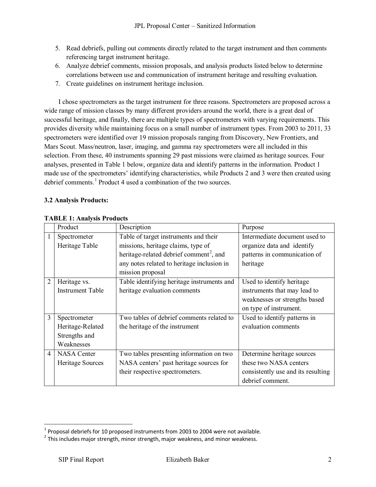- 5. Read debriefs, pulling out comments directly related to the target instrument and then comments referencing target instrument heritage.
- 6. Analyze debrief comments, mission proposals, and analysis products listed below to determine correlations between use and communication of instrument heritage and resulting evaluation.
- 7. Create guidelines on instrument heritage inclusion.

I chose spectrometers as the target instrument for three reasons. Spectrometers are proposed across a wide range of mission classes by many different providers around the world, there is a great deal of successful heritage, and finally, there are multiple types of spectrometers with varying requirements. This provides diversity while maintaining focus on a small number of instrument types. From 2003 to 2011, 33 spectrometers were identified over 19 mission proposals ranging from Discovery, New Frontiers, and Mars Scout. Mass/neutron, laser, imaging, and gamma ray spectrometers were all included in this selection. From these, 40 instruments spanning 29 past missions were claimed as heritage sources. Four analyses, presented in Table 1 below, organize data and identify patterns in the information. Product 1 made use of the spectrometers' identifying characteristics, while Products 2 and 3 were then created using debrief comments.<sup>[1](#page-2-0)</sup> Product 4 used a combination of the two sources.

#### **3.2 Analysis Products:**

|                | Product                 | Description                                         | Purpose                            |
|----------------|-------------------------|-----------------------------------------------------|------------------------------------|
| 1              | Spectrometer            | Table of target instruments and their               | Intermediate document used to      |
|                | Heritage Table          | missions, heritage claims, type of                  | organize data and identify         |
|                |                         | heritage-related debrief comment <sup>2</sup> , and | patterns in communication of       |
|                |                         | any notes related to heritage inclusion in          | heritage                           |
|                |                         | mission proposal                                    |                                    |
| $\overline{2}$ | Heritage vs.            | Table identifying heritage instruments and          | Used to identify heritage          |
|                | <b>Instrument Table</b> | heritage evaluation comments                        | instruments that may lead to       |
|                |                         |                                                     | weaknesses or strengths based      |
|                |                         |                                                     | on type of instrument.             |
| 3              | Spectrometer            | Two tables of debrief comments related to           | Used to identify patterns in       |
|                | Heritage-Related        | the heritage of the instrument                      | evaluation comments                |
|                | Strengths and           |                                                     |                                    |
|                | Weaknesses              |                                                     |                                    |
| $\overline{4}$ | <b>NASA Center</b>      | Two tables presenting information on two            | Determine heritage sources         |
|                | Heritage Sources        | NASA centers' past heritage sources for             | these two NASA centers             |
|                |                         | their respective spectrometers.                     | consistently use and its resulting |
|                |                         |                                                     | debrief comment.                   |

## **TABLE 1: Analysis Products**

 $\overline{\phantom{a}}$ 

<span id="page-2-0"></span> $^{1}$  Proposal debriefs for 10 proposed instruments from 2003 to 2004 were not available.

<span id="page-2-1"></span> $2$  This includes major strength, minor strength, major weakness, and minor weakness.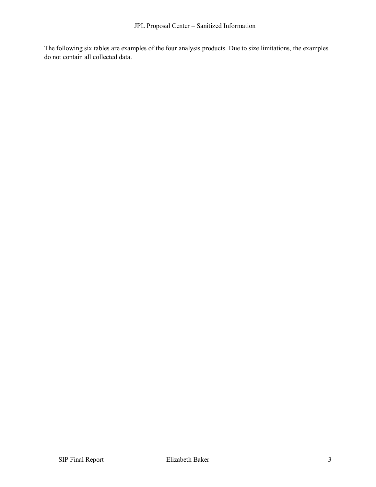The following six tables are examples of the four analysis products. Due to size limitations, the examples do not contain all collected data.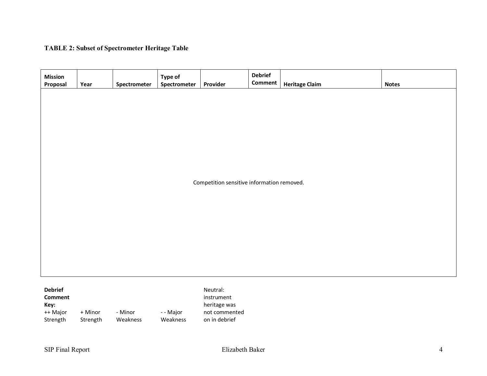### **TABLE 2: Subset of Spectrometer Heritage Table**

| <b>Mission</b><br>Proposal       | Year     | Spectrometer | Type of<br>Spectrometer | Provider                                   | <b>Debrief</b><br><b>Comment</b> | <b>Heritage Claim</b> | <b>Notes</b> |
|----------------------------------|----------|--------------|-------------------------|--------------------------------------------|----------------------------------|-----------------------|--------------|
|                                  |          |              |                         |                                            |                                  |                       |              |
|                                  |          |              |                         |                                            |                                  |                       |              |
|                                  |          |              |                         |                                            |                                  |                       |              |
|                                  |          |              |                         |                                            |                                  |                       |              |
|                                  |          |              |                         |                                            |                                  |                       |              |
|                                  |          |              |                         | Competition sensitive information removed. |                                  |                       |              |
|                                  |          |              |                         |                                            |                                  |                       |              |
|                                  |          |              |                         |                                            |                                  |                       |              |
|                                  |          |              |                         |                                            |                                  |                       |              |
|                                  |          |              |                         |                                            |                                  |                       |              |
|                                  |          |              |                         |                                            |                                  |                       |              |
| <b>Debrief</b><br><b>Comment</b> |          |              |                         | Neutral:<br>instrument                     |                                  |                       |              |
| Key:<br>++ Major                 | + Minor  | - Minor      | - - Major               | heritage was<br>not commented              |                                  |                       |              |
| Strength                         | Strength | Weakness     | Weakness                | on in debrief                              |                                  |                       |              |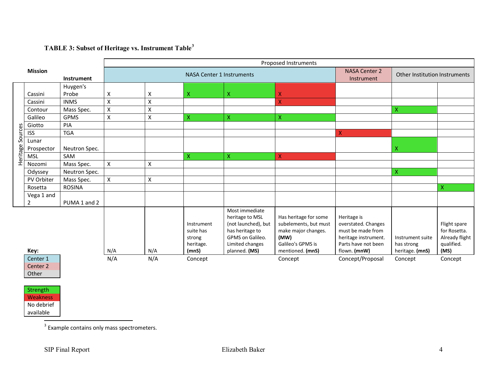## <span id="page-5-0"></span>**TABLE 3: Subset of Heritage vs. Instrument Table[3](#page-5-0)**

| <b>Mission</b> |                                 | Proposed Instruments |                                  |     |                                                |                                                                                                                    |                                                                                                    |                                                                                                        |                                |                                                              |
|----------------|---------------------------------|----------------------|----------------------------------|-----|------------------------------------------------|--------------------------------------------------------------------------------------------------------------------|----------------------------------------------------------------------------------------------------|--------------------------------------------------------------------------------------------------------|--------------------------------|--------------------------------------------------------------|
|                |                                 | <b>Instrument</b>    | <b>NASA Center 1 Instruments</b> |     |                                                |                                                                                                                    | <b>NASA Center 2</b><br>Instrument                                                                 |                                                                                                        | Other Institution Instruments  |                                                              |
|                |                                 | Huygen's             |                                  |     |                                                |                                                                                                                    |                                                                                                    |                                                                                                        |                                |                                                              |
|                | Cassini                         | Probe                | X                                | Χ   | X                                              | X                                                                                                                  | X                                                                                                  |                                                                                                        |                                |                                                              |
|                | Cassini                         | <b>INMS</b>          | X                                | Χ   |                                                |                                                                                                                    | X                                                                                                  |                                                                                                        |                                |                                                              |
|                | Contour                         | Mass Spec.           | X                                | Χ   |                                                |                                                                                                                    |                                                                                                    |                                                                                                        | Χ                              |                                                              |
|                | Galileo                         | <b>GPMS</b>          | X                                | Χ   | X                                              | X                                                                                                                  | X                                                                                                  |                                                                                                        |                                |                                                              |
|                | Giotto                          | PIA                  |                                  |     |                                                |                                                                                                                    |                                                                                                    |                                                                                                        |                                |                                                              |
| Sources        | <b>ISS</b>                      | <b>TGA</b>           |                                  |     |                                                |                                                                                                                    |                                                                                                    | X                                                                                                      |                                |                                                              |
|                | Lunar<br>Prospector             | Neutron Spec.        |                                  |     |                                                |                                                                                                                    |                                                                                                    |                                                                                                        | Χ                              |                                                              |
| Heritage       | <b>MSL</b>                      | SAM                  |                                  |     | X                                              | X                                                                                                                  | $\mathsf{X}$                                                                                       |                                                                                                        |                                |                                                              |
|                | Nozomi                          | Mass Spec.           | X                                | Χ   |                                                |                                                                                                                    |                                                                                                    |                                                                                                        |                                |                                                              |
|                | Odyssey                         | Neutron Spec.        |                                  |     |                                                |                                                                                                                    |                                                                                                    |                                                                                                        | x                              |                                                              |
|                | PV Orbiter                      | Mass Spec.           | X                                | x   |                                                |                                                                                                                    |                                                                                                    |                                                                                                        |                                |                                                              |
|                | Rosetta                         | <b>ROSINA</b>        |                                  |     |                                                |                                                                                                                    |                                                                                                    |                                                                                                        |                                | X                                                            |
|                | Vega 1 and                      |                      |                                  |     |                                                |                                                                                                                    |                                                                                                    |                                                                                                        |                                |                                                              |
|                | $\overline{2}$                  | PUMA 1 and 2         |                                  |     |                                                |                                                                                                                    |                                                                                                    |                                                                                                        |                                |                                                              |
|                |                                 |                      |                                  |     | Instrument<br>suite has<br>strong<br>heritage. | Most immediate<br>heritage to MSL<br>(not launched), but<br>has heritage to<br>GPMS on Galileo.<br>Limited changes | Has heritage for some<br>subelements, but must<br>make major changes.<br>(MW)<br>Galileo's GPMS is | Heritage is<br>overstated. Changes<br>must be made from<br>heritage instrument.<br>Parts have not been | Instrument suite<br>has strong | Flight spare<br>for Rosetta.<br>Already flight<br>qualified. |
|                | Key:                            |                      | N/A                              | N/A | (mnS)                                          | planned. (MS)                                                                                                      | mentioned. (mnS)                                                                                   | flown. (mnW)                                                                                           | heritage. (mnS)                | (MS)                                                         |
|                | Center 1<br>Center <sub>2</sub> |                      | N/A                              | N/A | Concept                                        |                                                                                                                    | Concept                                                                                            | Concept/Proposal                                                                                       | Concept                        | Concept                                                      |

Other Strength

Weakness No debrief available

> $3$  Example contains only mass spectrometers.  $\overline{a}$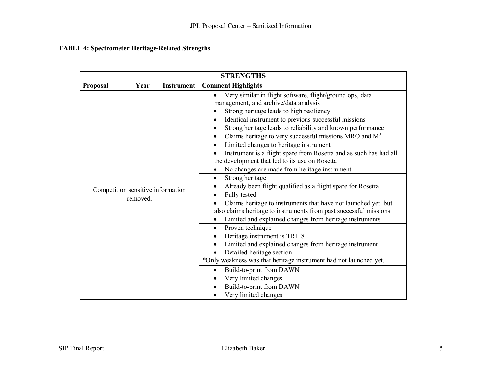## **TABLE 4: Spectrometer Heritage-Related Strengths**

| <b>STRENGTHS</b>                  |          |                   |                                                                                                                                                                                                                           |  |  |
|-----------------------------------|----------|-------------------|---------------------------------------------------------------------------------------------------------------------------------------------------------------------------------------------------------------------------|--|--|
| Proposal                          | Year     | <b>Instrument</b> | <b>Comment Highlights</b>                                                                                                                                                                                                 |  |  |
|                                   |          |                   | Very similar in flight software, flight/ground ops, data<br>management, and archive/data analysis<br>Strong heritage leads to high resiliency                                                                             |  |  |
|                                   |          |                   | Identical instrument to previous successful missions<br>$\bullet$<br>Strong heritage leads to reliability and known performance                                                                                           |  |  |
|                                   |          |                   | Claims heritage to very successful missions MRO and $M3$<br>$\bullet$<br>Limited changes to heritage instrument                                                                                                           |  |  |
|                                   |          |                   | Instrument is a flight spare from Rosetta and as such has had all<br>the development that led to its use on Rosetta<br>No changes are made from heritage instrument                                                       |  |  |
|                                   |          |                   | Strong heritage<br>$\bullet$                                                                                                                                                                                              |  |  |
| Competition sensitive information |          |                   | Already been flight qualified as a flight spare for Rosetta<br>Fully tested                                                                                                                                               |  |  |
|                                   | removed. |                   | Claims heritage to instruments that have not launched yet, but<br>also claims heritage to instruments from past successful missions<br>Limited and explained changes from heritage instruments                            |  |  |
|                                   |          |                   | Proven technique<br>$\bullet$<br>Heritage instrument is TRL 8<br>Limited and explained changes from heritage instrument<br>Detailed heritage section<br>*Only weakness was that heritage instrument had not launched yet. |  |  |
|                                   |          |                   | Build-to-print from DAWN                                                                                                                                                                                                  |  |  |
|                                   |          |                   | Very limited changes<br>Build-to-print from DAWN<br>$\bullet$<br>Very limited changes                                                                                                                                     |  |  |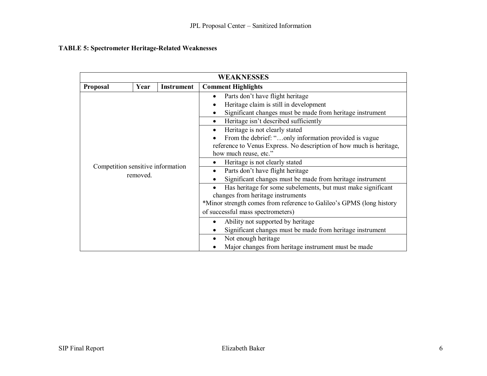## **TABLE 5: Spectrometer Heritage-Related Weaknesses**

| <b>WEAKNESSES</b>                             |      |                   |                                                                                                                                                                                                                                                                                                                                                                                                                                                                             |  |  |
|-----------------------------------------------|------|-------------------|-----------------------------------------------------------------------------------------------------------------------------------------------------------------------------------------------------------------------------------------------------------------------------------------------------------------------------------------------------------------------------------------------------------------------------------------------------------------------------|--|--|
| <b>Proposal</b>                               | Year | <b>Instrument</b> | <b>Comment Highlights</b>                                                                                                                                                                                                                                                                                                                                                                                                                                                   |  |  |
| Competition sensitive information<br>removed. |      |                   | Parts don't have flight heritage<br>$\bullet$<br>Heritage claim is still in development<br>Significant changes must be made from heritage instrument<br>Heritage isn't described sufficiently<br>$\bullet$<br>Heritage is not clearly stated<br>From the debrief: "only information provided is vague<br>reference to Venus Express. No description of how much is heritage,<br>how much reuse, etc."<br>Heritage is not clearly stated<br>Parts don't have flight heritage |  |  |
|                                               |      |                   | Significant changes must be made from heritage instrument<br>Has heritage for some subelements, but must make significant<br>changes from heritage instruments<br>*Minor strength comes from reference to Galileo's GPMS (long history<br>of successful mass spectrometers)<br>Ability not supported by heritage<br>Significant changes must be made from heritage instrument<br>Not enough heritage<br>$\bullet$<br>Major changes from heritage instrument must be made    |  |  |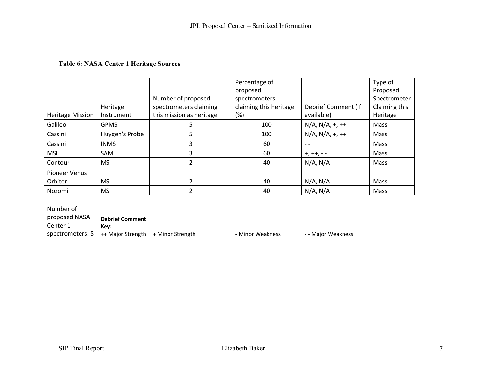## **Table 6: NASA Center 1 Heritage Sources**

|                         |                |                          | Percentage of          |                     | Type of       |
|-------------------------|----------------|--------------------------|------------------------|---------------------|---------------|
|                         |                |                          | proposed               |                     | Proposed      |
|                         |                | Number of proposed       | spectrometers          |                     | Spectrometer  |
|                         | Heritage       | spectrometers claiming   | claiming this heritage | Debrief Comment (if | Claiming this |
| <b>Heritage Mission</b> | Instrument     | this mission as heritage | $(\%)$                 | available)          | Heritage      |
| Galileo                 | <b>GPMS</b>    | 5                        | 100                    | $N/A, N/A, +, ++$   | Mass          |
| Cassini                 | Huygen's Probe | 5                        | 100                    | $N/A, N/A, +, ++$   | Mass          |
| Cassini                 | <b>INMS</b>    | 3                        | 60                     | $ -$                | Mass          |
| <b>MSL</b>              | SAM            | 3                        | 60                     | $+, ++, -$          | Mass          |
| Contour                 | <b>MS</b>      |                          | 40                     | N/A, N/A            | Mass          |
| <b>Pioneer Venus</b>    |                |                          |                        |                     |               |
| Orbiter                 | <b>MS</b>      |                          | 40                     | N/A, N/A            | Mass          |
| Nozomi                  | <b>MS</b>      |                          | 40                     | N/A, N/A            | Mass          |

Number of proposed NASA Center 1 spectrometers: 5 **Debrief Comment Key:**

++ Major Strength + Minor Strength - - Minor Weakness - - Major Weakness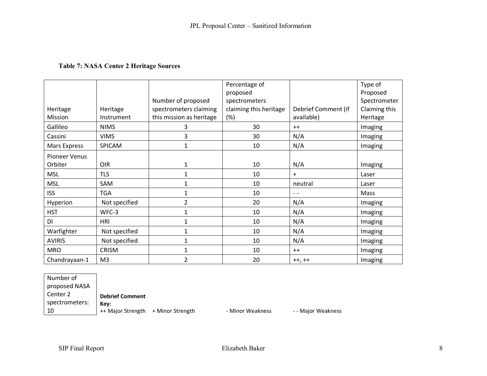#### **Table 7: NASA Center 2 Heritage Sources**

|               |                |                          | Percentage of<br>proposed |                     | Type of<br>Proposed |
|---------------|----------------|--------------------------|---------------------------|---------------------|---------------------|
|               |                | Number of proposed       | spectrometers             |                     | Spectrometer        |
| Heritage      | Heritage       | spectrometers claiming   | claiming this heritage    | Debrief Comment (if | Claiming this       |
| Mission       | Instrument     | this mission as heritage | (%)                       | available)          | Heritage            |
| Gallileo      | <b>NIMS</b>    | 3                        | 30                        | $++$                | Imaging             |
| Cassini       | <b>VIMS</b>    | 3                        | 30                        | N/A                 | Imaging             |
| Mars Express  | SPICAM         | 1                        | 10                        | N/A                 | Imaging             |
| Pioneer Venus |                |                          |                           |                     |                     |
| Orbiter       | OIR            | 1                        | 10                        | N/A                 | Imaging             |
| <b>MSL</b>    | <b>TLS</b>     | $\mathbf{1}$             | 10                        | $\ddot{}$           | Laser               |
| <b>MSL</b>    | SAM            | 1                        | 10                        | neutral             | Laser               |
| <b>ISS</b>    | <b>TGA</b>     | 1                        | 10                        | $- -$               | Mass                |
| Hyperion      | Not specified  | $\overline{2}$           | 20                        | N/A                 | Imaging             |
| <b>HST</b>    | WFC-3          | 1                        | 10                        | N/A                 | Imaging             |
| DI            | HRI            | 1                        | 10                        | N/A                 | Imaging             |
| Warfighter    | Not specified  | 1                        | 10                        | N/A                 | Imaging             |
| <b>AVIRIS</b> | Not specified  | 1                        | 10                        | N/A                 | Imaging             |
| <b>MRO</b>    | <b>CRISM</b>   |                          | 10                        | $++$                | Imaging             |
| Chandrayaan-1 | M <sub>3</sub> | $\overline{2}$           | 20                        | $++,++$             | Imaging             |

Number of proposed NASA Center 2 spectrometers: 10 **Debrief Comment Key:**

++ Major Strength + Minor Strength - Minor Weakness - - Major Weakness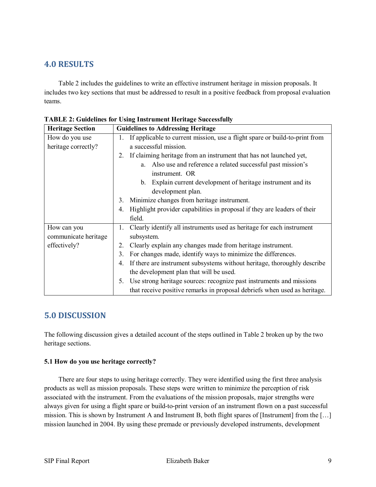## **4.0 RESULTS**

Table 2 includes the guidelines to write an effective instrument heritage in mission proposals. It includes two key sections that must be addressed to result in a positive feedback from proposal evaluation teams.

| <b>Heritage Section</b> | <b>Guidelines to Addressing Heritage</b>                                          |  |  |
|-------------------------|-----------------------------------------------------------------------------------|--|--|
| How do you use          | If applicable to current mission, use a flight spare or build-to-print from<br>1. |  |  |
| heritage correctly?     | a successful mission.                                                             |  |  |
|                         | If claiming heritage from an instrument that has not launched yet,<br>2.          |  |  |
|                         | Also use and reference a related successful past mission's<br>a.                  |  |  |
|                         | instrument. OR                                                                    |  |  |
|                         | Explain current development of heritage instrument and its<br>b.                  |  |  |
|                         | development plan.                                                                 |  |  |
|                         | Minimize changes from heritage instrument.<br>3.                                  |  |  |
|                         | Highlight provider capabilities in proposal if they are leaders of their<br>4.    |  |  |
|                         | field.                                                                            |  |  |
| How can you             | Clearly identify all instruments used as heritage for each instrument<br>1.       |  |  |
| communicate heritage    | subsystem.                                                                        |  |  |
| effectively?            | Clearly explain any changes made from heritage instrument.                        |  |  |
|                         | For changes made, identify ways to minimize the differences.<br>3.                |  |  |
|                         | If there are instrument subsystems without heritage, thoroughly describe<br>4.    |  |  |
|                         | the development plan that will be used.                                           |  |  |
|                         | Use strong heritage sources: recognize past instruments and missions<br>5.        |  |  |
|                         | that receive positive remarks in proposal debriefs when used as heritage.         |  |  |

**TABLE 2: Guidelines for Using Instrument Heritage Successfully**

## **5.0 DISCUSSION**

The following discussion gives a detailed account of the steps outlined in Table 2 broken up by the two heritage sections.

#### **5.1 How do you use heritage correctly?**

There are four steps to using heritage correctly. They were identified using the first three analysis products as well as mission proposals. These steps were written to minimize the perception of risk associated with the instrument. From the evaluations of the mission proposals, major strengths were always given for using a flight spare or build-to-print version of an instrument flown on a past successful mission. This is shown by Instrument A and Instrument B, both flight spares of [Instrument] from the […] mission launched in 2004. By using these premade or previously developed instruments, development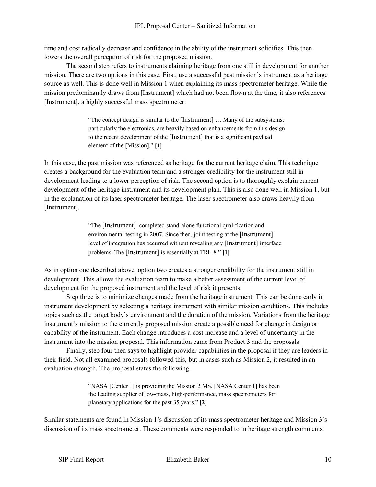time and cost radically decrease and confidence in the ability of the instrument solidifies. This then lowers the overall perception of risk for the proposed mission.

The second step refers to instruments claiming heritage from one still in development for another mission. There are two options in this case. First, use a successful past mission's instrument as a heritage source as well. This is done well in Mission 1 when explaining its mass spectrometer heritage. While the mission predominantly draws from [Instrument] which had not been flown at the time, it also references [Instrument], a highly successful mass spectrometer.

> "The concept design is similar to the [Instrument] … Many of the subsystems, particularly the electronics, are heavily based on enhancements from this design to the recent development of the [Instrument] that is a significant payload element of the [Mission]." **[1]**

In this case, the past mission was referenced as heritage for the current heritage claim. This technique creates a background for the evaluation team and a stronger credibility for the instrument still in development leading to a lower perception of risk. The second option is to thoroughly explain current development of the heritage instrument and its development plan. This is also done well in Mission 1, but in the explanation of its laser spectrometer heritage. The laser spectrometer also draws heavily from [Instrument].

> "The [Instrument] completed stand-alone functional qualification and environmental testing in 2007. Since then, joint testing at the [Instrument] level of integration has occurred without revealing any [Instrument] interface problems. The [Instrument] is essentially at TRL-8." **[1]**

As in option one described above, option two creates a stronger credibility for the instrument still in development. This allows the evaluation team to make a better assessment of the current level of development for the proposed instrument and the level of risk it presents.

Step three is to minimize changes made from the heritage instrument. This can be done early in instrument development by selecting a heritage instrument with similar mission conditions. This includes topics such as the target body's environment and the duration of the mission. Variations from the heritage instrument's mission to the currently proposed mission create a possible need for change in design or capability of the instrument. Each change introduces a cost increase and a level of uncertainty in the instrument into the mission proposal. This information came from Product 3 and the proposals.

Finally, step four then says to highlight provider capabilities in the proposal if they are leaders in their field. Not all examined proposals followed this, but in cases such as Mission 2, it resulted in an evaluation strength. The proposal states the following:

> "NASA [Center 1] is providing the Mission 2 MS. [NASA Center 1] has been the leading supplier of low-mass, high-performance, mass spectrometers for planetary applications for the past 35 years." **[2]**

Similar statements are found in Mission 1's discussion of its mass spectrometer heritage and Mission 3's discussion of its mass spectrometer. These comments were responded to in heritage strength comments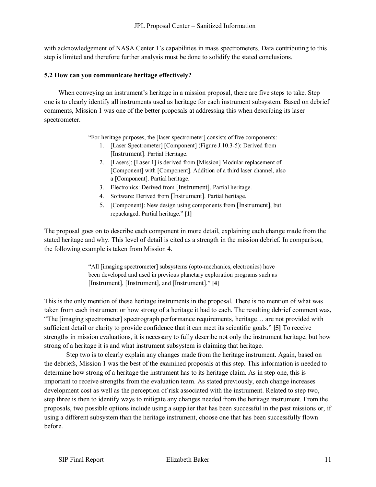with acknowledgement of NASA Center 1's capabilities in mass spectrometers. Data contributing to this step is limited and therefore further analysis must be done to solidify the stated conclusions.

#### **5.2 How can you communicate heritage effectively?**

When conveying an instrument's heritage in a mission proposal, there are five steps to take. Step one is to clearly identify all instruments used as heritage for each instrument subsystem. Based on debrief comments, Mission 1 was one of the better proposals at addressing this when describing its laser spectrometer.

"For heritage purposes, the [laser spectrometer] consists of five components:

- 1. [Laser Spectrometer] [Component] (Figure J.10.3-5): Derived from [Instrument]. Partial Heritage.
- 2. [Lasers]: [Laser 1] is derived from [Mission] Modular replacement of [Component] with [Component]. Addition of a third laser channel, also a [Component]. Partial heritage.
- 3. Electronics: Derived from [Instrument]. Partial heritage.
- 4. Software: Derived from [Instrument]. Partial heritage.
- 5. [Component]: New design using components from [Instrument], but repackaged. Partial heritage." **[1]**

The proposal goes on to describe each component in more detail, explaining each change made from the stated heritage and why. This level of detail is cited as a strength in the mission debrief. In comparison, the following example is taken from Mission 4.

> "All [imaging spectrometer] subsystems (opto-mechanics, electronics) have been developed and used in previous planetary exploration programs such as [Instrument], [Instrument], and [Instrument]." **[4]**

This is the only mention of these heritage instruments in the proposal. There is no mention of what was taken from each instrument or how strong of a heritage it had to each. The resulting debrief comment was, "The [imaging spectrometer] spectrograph performance requirements, heritage… are not provided with sufficient detail or clarity to provide confidence that it can meet its scientific goals." **[5]** To receive strengths in mission evaluations, it is necessary to fully describe not only the instrument heritage, but how strong of a heritage it is and what instrument subsystem is claiming that heritage.

Step two is to clearly explain any changes made from the heritage instrument. Again, based on the debriefs, Mission 1 was the best of the examined proposals at this step. This information is needed to determine how strong of a heritage the instrument has to its heritage claim. As in step one, this is important to receive strengths from the evaluation team. As stated previously, each change increases development cost as well as the perception of risk associated with the instrument. Related to step two, step three is then to identify ways to mitigate any changes needed from the heritage instrument. From the proposals, two possible options include using a supplier that has been successful in the past missions or, if using a different subsystem than the heritage instrument, choose one that has been successfully flown before.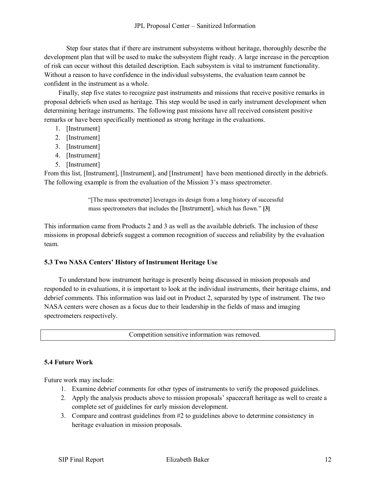Step four states that if there are instrument subsystems without heritage, thoroughly describe the development plan that will be used to make the subsystem flight ready. A large increase in the perception of risk can occur without this detailed description. Each subsystem is vital to instrument functionality. Without a reason to have confidence in the individual subsystems, the evaluation team cannot be confident in the instrument as a whole.

Finally, step five states to recognize past instruments and missions that receive positive remarks in proposal debriefs when used as heritage. This step would be used in early instrument development when determining heritage instruments. The following past missions have all received consistent positive remarks or have been specifically mentioned as strong heritage in the evaluations.

- 1. [Instrument]
- 2. [Instrument]
- 3. [Instrument]
- 4. [Instrument]
- 5. [Instrument]

From this list, [Instrument], [Instrument], and [Instrument] have been mentioned directly in the debriefs. The following example is from the evaluation of the Mission 3's mass spectrometer.

> "[The mass spectrometer] leverages its design from a long history of successful mass spectrometers that includes the [Instrument], which has flown." **[3]**

This information came from Products 2 and 3 as well as the available debriefs. The inclusion of these missions in proposal debriefs suggest a common recognition of success and reliability by the evaluation team.

## **5.3 Two NASA Centers' History of Instrument Heritage Use**

To understand how instrument heritage is presently being discussed in mission proposals and responded to in evaluations, it is important to look at the individual instruments, their heritage claims, and debrief comments. This information was laid out in Product 2, separated by type of instrument. The two NASA centers were chosen as a focus due to their leadership in the fields of mass and imaging spectrometers respectively.

Competition sensitive information was removed.

#### **5.4 Future Work**

Future work may include:

- 1. Examine debrief comments for other types of instruments to verify the proposed guidelines.
- 2. Apply the analysis products above to mission proposals' spacecraft heritage as well to create a complete set of guidelines for early mission development.
- 3. Compare and contrast guidelines from #2 to guidelines above to determine consistency in heritage evaluation in mission proposals.